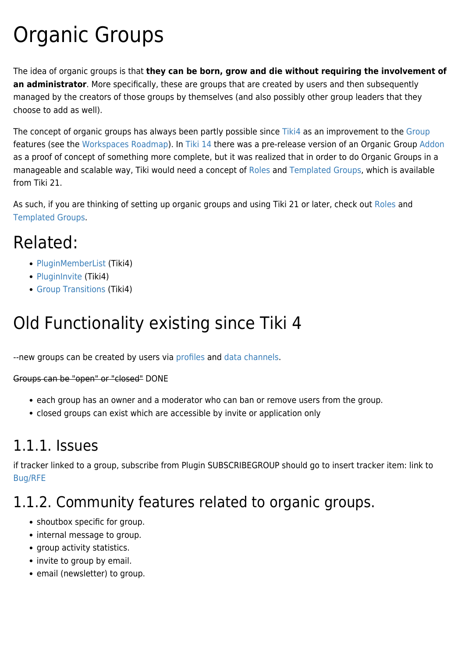# Organic Groups

The idea of organic groups is that **they can be born, grow and die without requiring the involvement of an administrator**. More specifically, these are groups that are created by users and then subsequently managed by the creators of those groups by themselves (and also possibly other group leaders that they choose to add as well).

The concept of organic groups has always been partly possible since [Tiki4](https://doc.tiki.org/Tiki4) as an improvement to the [Group](https://doc.tiki.org/Group) features (see the [Workspaces Roadmap](http://dev.tiki.org/Workspace+Roadmap#Organic_Emergent_groups)). In [Tiki 14](https://doc.tiki.org/Tiki%2014) there was a pre-release version of an Organic Group [Addon](https://doc.tiki.org/Addon) as a proof of concept of something more complete, but it was realized that in order to do Organic Groups in a manageable and scalable way, Tiki would need a concept of [Roles](https://doc.tiki.org/Roles) and [Templated Groups,](https://doc.tiki.org/Templated-Groups) which is available from Tiki 21.

As such, if you are thinking of setting up organic groups and using Tiki 21 or later, check out [Roles](https://doc.tiki.org/Roles) and [Templated Groups.](https://doc.tiki.org/Templated-Groups)

### Related:

- [PluginMemberList](https://doc.tiki.org/PluginMemberList) (Tiki4)
- [PluginInvite](https://doc.tiki.org/PluginInvite) (Tiki4)
- [Group Transitions](https://doc.tiki.org/Group-Transitions) (Tiki4)

# Old Functionality existing since Tiki 4

--new groups can be created by users via [profiles](https://doc.tiki.org/Profiles) and [data channels.](https://doc.tiki.org/Data-Channels)

Groups can be "open" or "closed" DONE

- each group has an owner and a moderator who can ban or remove users from the group.
- closed groups can exist which are accessible by invite or application only

#### 1.1.1. Issues

if tracker linked to a group, subscribe from Plugin SUBSCRIBEGROUP should go to insert tracker item: link to [Bug/RFE](https://doc.tiki.org/bug1793)

### 1.1.2. Community features related to organic groups.

- shoutbox specific for group.
- internal message to group.
- group activity statistics.
- invite to group by email.
- email (newsletter) to group.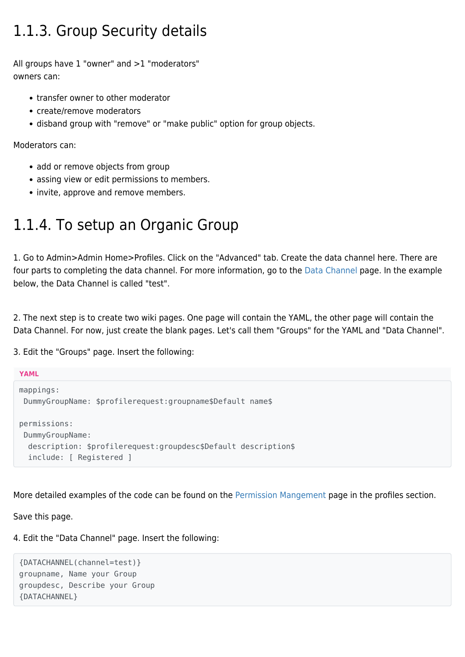#### 1.1.3. Group Security details

All groups have 1 "owner" and >1 "moderators" owners can:

- transfer owner to other moderator
- create/remove moderators
- disband group with "remove" or "make public" option for group objects.

Moderators can:

- add or remove objects from group
- assing view or edit permissions to members.
- invite, approve and remove members.

#### 1.1.4. To setup an Organic Group

1. Go to Admin>Admin Home>Profiles. Click on the "Advanced" tab. Create the data channel here. There are four parts to completing the data channel. For more information, go to the [Data Channel](https://doc.tiki.org/Data%20Channel) page. In the example below, the Data Channel is called "test".

2. The next step is to create two wiki pages. One page will contain the YAML, the other page will contain the Data Channel. For now, just create the blank pages. Let's call them "Groups" for the YAML and "Data Channel".

3. Edit the "Groups" page. Insert the following:

```
YAML
mappings:
 DummyGroupName: $profilerequest:groupname$Default name$
permissions:
  DummyGroupName:
   description: $profilerequest:groupdesc$Default description$
   include: [ Registered ]
```
More detailed examples of the code can be found on the [Permission Mangement](http://profiles.tiki.org/Permission+Management) page in the profiles section.

Save this page.

4. Edit the "Data Channel" page. Insert the following:

```
{DATACHANNEL(channel=test)}
groupname, Name your Group
groupdesc, Describe your Group
{DATACHANNEL}
```